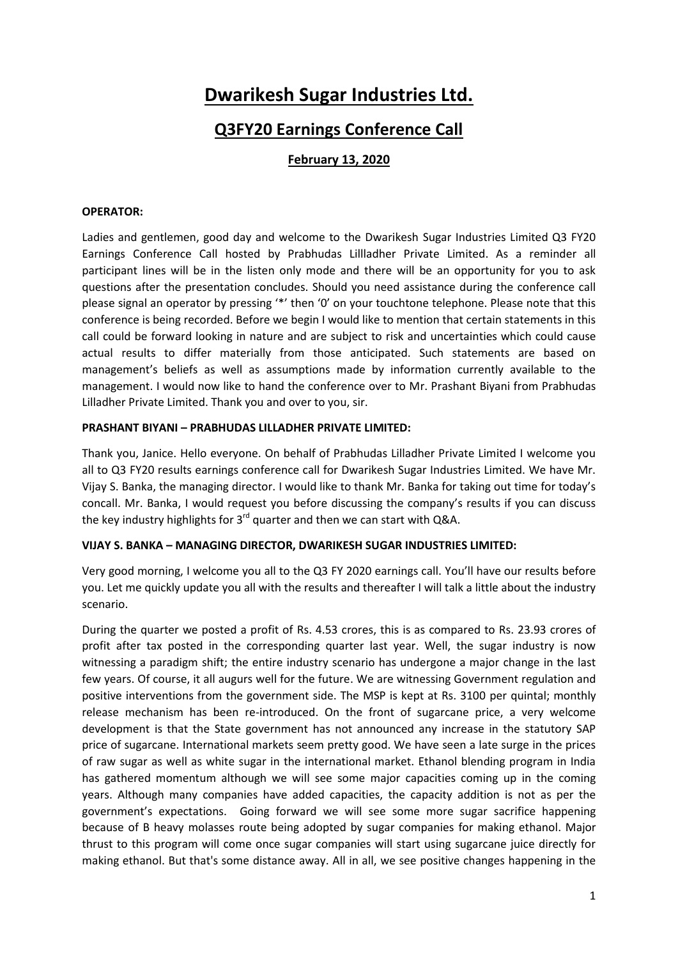# **Dwarikesh Sugar Industries Ltd.**

# **Q3FY20 Earnings Conference Call**

# **February 13, 2020**

#### **OPERATOR:**

Ladies and gentlemen, good day and welcome to the Dwarikesh Sugar Industries Limited Q3 FY20 Earnings Conference Call hosted by Prabhudas Lillladher Private Limited. As a reminder all participant lines will be in the listen only mode and there will be an opportunity for you to ask questions after the presentation concludes. Should you need assistance during the conference call please signal an operator by pressing '\*' then '0' on your touchtone telephone. Please note that this conference is being recorded. Before we begin I would like to mention that certain statements in this call could be forward looking in nature and are subject to risk and uncertainties which could cause actual results to differ materially from those anticipated. Such statements are based on management's beliefs as well as assumptions made by information currently available to the management. I would now like to hand the conference over to Mr. Prashant Biyani from Prabhudas Lilladher Private Limited. Thank you and over to you, sir.

#### **PRASHANT BIYANI – PRABHUDAS LILLADHER PRIVATE LIMITED:**

Thank you, Janice. Hello everyone. On behalf of Prabhudas Lilladher Private Limited I welcome you all to Q3 FY20 results earnings conference call for Dwarikesh Sugar Industries Limited. We have Mr. Vijay S. Banka, the managing director. I would like to thank Mr. Banka for taking out time for today's concall. Mr. Banka, I would request you before discussing the company's results if you can discuss the key industry highlights for  $3^{rd}$  quarter and then we can start with Q&A.

## **VIJAY S. BANKA – MANAGING DIRECTOR, DWARIKESH SUGAR INDUSTRIES LIMITED:**

Very good morning, I welcome you all to the Q3 FY 2020 earnings call. You'll have our results before you. Let me quickly update you all with the results and thereafter I will talk a little about the industry scenario.

During the quarter we posted a profit of Rs. 4.53 crores, this is as compared to Rs. 23.93 crores of profit after tax posted in the corresponding quarter last year. Well, the sugar industry is now witnessing a paradigm shift; the entire industry scenario has undergone a major change in the last few years. Of course, it all augurs well for the future. We are witnessing Government regulation and positive interventions from the government side. The MSP is kept at Rs. 3100 per quintal; monthly release mechanism has been re-introduced. On the front of sugarcane price, a very welcome development is that the State government has not announced any increase in the statutory SAP price of sugarcane. International markets seem pretty good. We have seen a late surge in the prices of raw sugar as well as white sugar in the international market. Ethanol blending program in India has gathered momentum although we will see some major capacities coming up in the coming years. Although many companies have added capacities, the capacity addition is not as per the government's expectations. Going forward we will see some more sugar sacrifice happening because of B heavy molasses route being adopted by sugar companies for making ethanol. Major thrust to this program will come once sugar companies will start using sugarcane juice directly for making ethanol. But that's some distance away. All in all, we see positive changes happening in the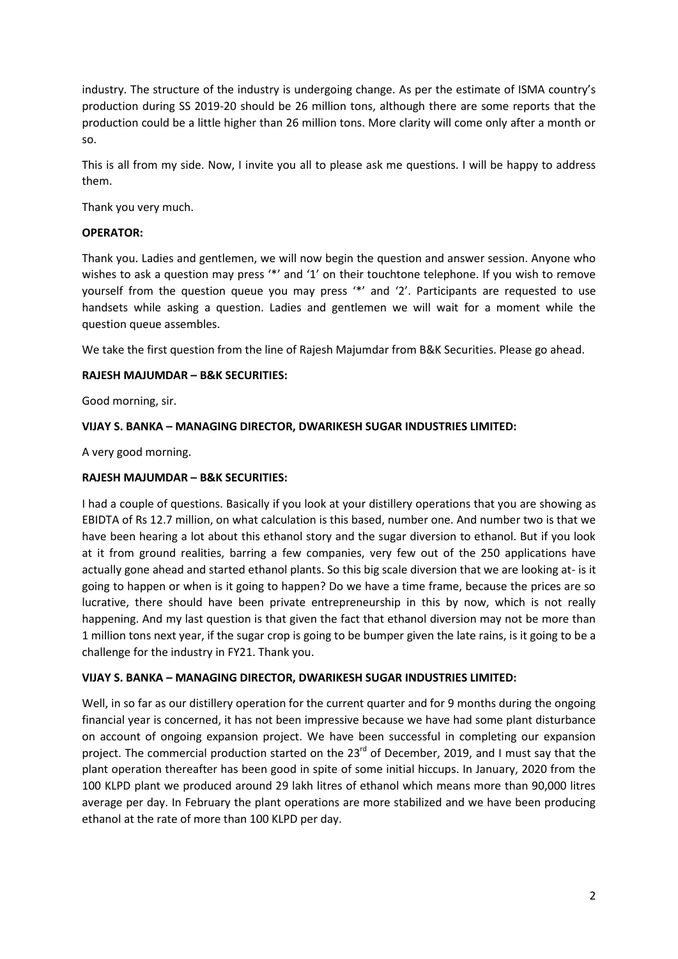industry. The structure of the industry is undergoing change. As per the estimate of ISMA country's production during SS 2019-20 should be 26 million tons, although there are some reports that the production could be a little higher than 26 million tons. More clarity will come only after a month or so.

This is all from my side. Now, I invite you all to please ask me questions. I will be happy to address them.

Thank you very much.

# **OPERATOR:**

Thank you. Ladies and gentlemen, we will now begin the question and answer session. Anyone who wishes to ask a question may press '\*' and '1' on their touchtone telephone. If you wish to remove yourself from the question queue you may press '\*' and '2'. Participants are requested to use handsets while asking a question. Ladies and gentlemen we will wait for a moment while the question queue assembles.

We take the first question from the line of Rajesh Majumdar from B&K Securities. Please go ahead.

# **RAJESH MAJUMDAR – B&K SECURITIES:**

Good morning, sir.

# **VIJAY S. BANKA – MANAGING DIRECTOR, DWARIKESH SUGAR INDUSTRIES LIMITED:**

A very good morning.

# **RAJESH MAJUMDAR – B&K SECURITIES:**

I had a couple of questions. Basically if you look at your distillery operations that you are showing as EBIDTA of Rs 12.7 million, on what calculation is this based, number one. And number two is that we have been hearing a lot about this ethanol story and the sugar diversion to ethanol. But if you look at it from ground realities, barring a few companies, very few out of the 250 applications have actually gone ahead and started ethanol plants. So this big scale diversion that we are looking at- is it going to happen or when is it going to happen? Do we have a time frame, because the prices are so lucrative, there should have been private entrepreneurship in this by now, which is not really happening. And my last question is that given the fact that ethanol diversion may not be more than 1 million tons next year, if the sugar crop is going to be bumper given the late rains, is it going to be a challenge for the industry in FY21. Thank you.

## **VIJAY S. BANKA – MANAGING DIRECTOR, DWARIKESH SUGAR INDUSTRIES LIMITED:**

Well, in so far as our distillery operation for the current quarter and for 9 months during the ongoing financial year is concerned, it has not been impressive because we have had some plant disturbance on account of ongoing expansion project. We have been successful in completing our expansion project. The commercial production started on the 23<sup>rd</sup> of December, 2019, and I must say that the plant operation thereafter has been good in spite of some initial hiccups. In January, 2020 from the 100 KLPD plant we produced around 29 lakh litres of ethanol which means more than 90,000 litres average per day. In February the plant operations are more stabilized and we have been producing ethanol at the rate of more than 100 KLPD per day.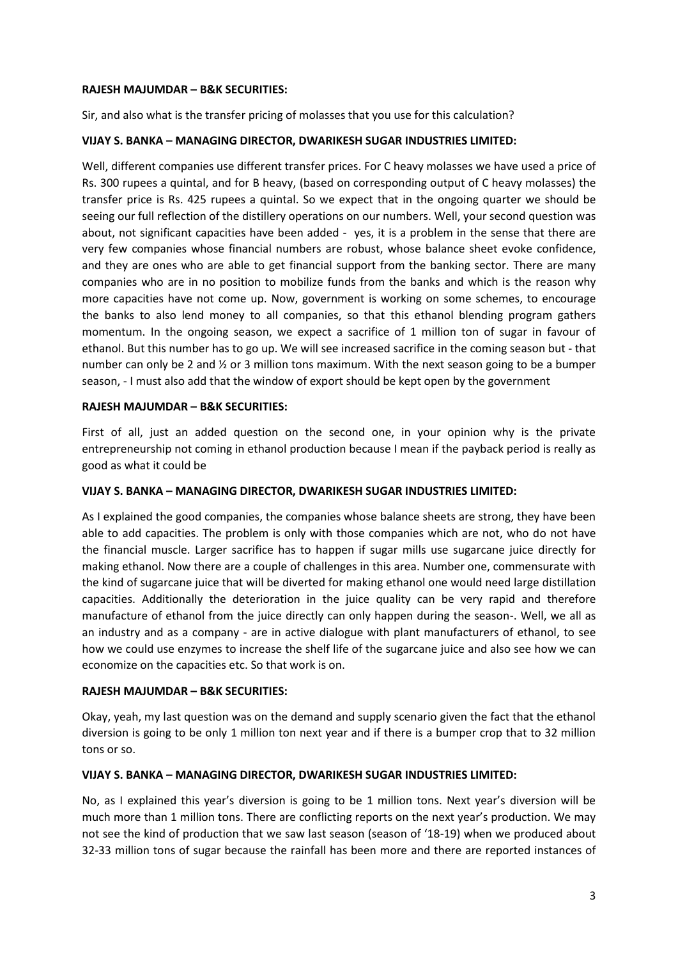#### **RAJESH MAJUMDAR – B&K SECURITIES:**

Sir, and also what is the transfer pricing of molasses that you use for this calculation?

## **VIJAY S. BANKA – MANAGING DIRECTOR, DWARIKESH SUGAR INDUSTRIES LIMITED:**

Well, different companies use different transfer prices. For C heavy molasses we have used a price of Rs. 300 rupees a quintal, and for B heavy, (based on corresponding output of C heavy molasses) the transfer price is Rs. 425 rupees a quintal. So we expect that in the ongoing quarter we should be seeing our full reflection of the distillery operations on our numbers. Well, your second question was about, not significant capacities have been added - yes, it is a problem in the sense that there are very few companies whose financial numbers are robust, whose balance sheet evoke confidence, and they are ones who are able to get financial support from the banking sector. There are many companies who are in no position to mobilize funds from the banks and which is the reason why more capacities have not come up. Now, government is working on some schemes, to encourage the banks to also lend money to all companies, so that this ethanol blending program gathers momentum. In the ongoing season, we expect a sacrifice of 1 million ton of sugar in favour of ethanol. But this number has to go up. We will see increased sacrifice in the coming season but - that number can only be 2 and ½ or 3 million tons maximum. With the next season going to be a bumper season, - I must also add that the window of export should be kept open by the government

#### **RAJESH MAJUMDAR – B&K SECURITIES:**

First of all, just an added question on the second one, in your opinion why is the private entrepreneurship not coming in ethanol production because I mean if the payback period is really as good as what it could be

#### **VIJAY S. BANKA – MANAGING DIRECTOR, DWARIKESH SUGAR INDUSTRIES LIMITED:**

As I explained the good companies, the companies whose balance sheets are strong, they have been able to add capacities. The problem is only with those companies which are not, who do not have the financial muscle. Larger sacrifice has to happen if sugar mills use sugarcane juice directly for making ethanol. Now there are a couple of challenges in this area. Number one, commensurate with the kind of sugarcane juice that will be diverted for making ethanol one would need large distillation capacities. Additionally the deterioration in the juice quality can be very rapid and therefore manufacture of ethanol from the juice directly can only happen during the season-. Well, we all as an industry and as a company - are in active dialogue with plant manufacturers of ethanol, to see how we could use enzymes to increase the shelf life of the sugarcane juice and also see how we can economize on the capacities etc. So that work is on.

## **RAJESH MAJUMDAR – B&K SECURITIES:**

Okay, yeah, my last question was on the demand and supply scenario given the fact that the ethanol diversion is going to be only 1 million ton next year and if there is a bumper crop that to 32 million tons or so.

## **VIJAY S. BANKA – MANAGING DIRECTOR, DWARIKESH SUGAR INDUSTRIES LIMITED:**

No, as I explained this year's diversion is going to be 1 million tons. Next year's diversion will be much more than 1 million tons. There are conflicting reports on the next year's production. We may not see the kind of production that we saw last season (season of '18-19) when we produced about 32-33 million tons of sugar because the rainfall has been more and there are reported instances of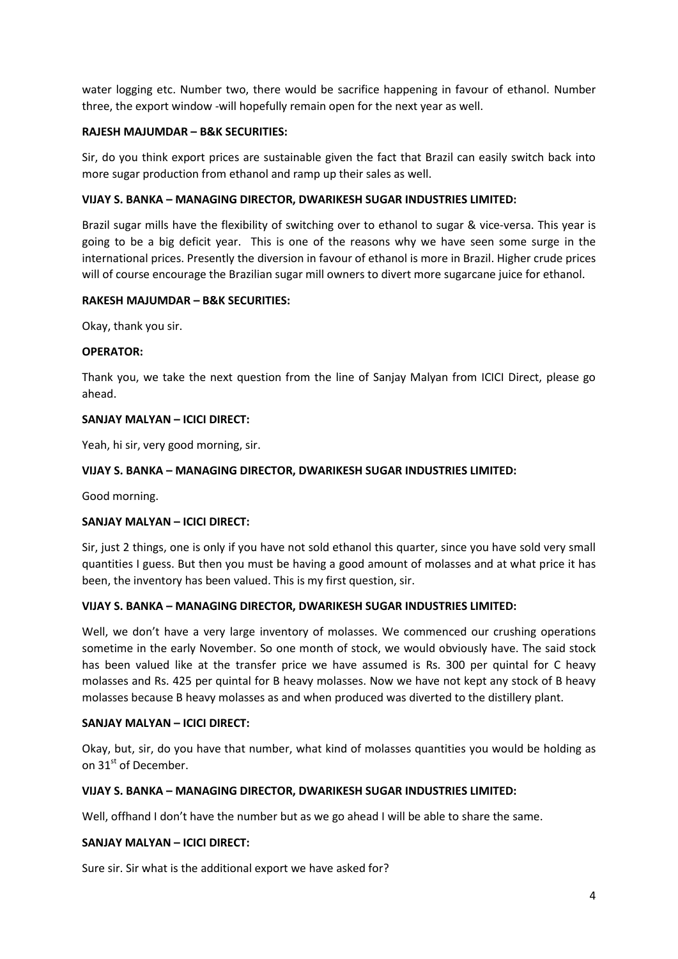water logging etc. Number two, there would be sacrifice happening in favour of ethanol. Number three, the export window -will hopefully remain open for the next year as well.

# **RAJESH MAJUMDAR – B&K SECURITIES:**

Sir, do you think export prices are sustainable given the fact that Brazil can easily switch back into more sugar production from ethanol and ramp up their sales as well.

# **VIJAY S. BANKA – MANAGING DIRECTOR, DWARIKESH SUGAR INDUSTRIES LIMITED:**

Brazil sugar mills have the flexibility of switching over to ethanol to sugar & vice-versa. This year is going to be a big deficit year. This is one of the reasons why we have seen some surge in the international prices. Presently the diversion in favour of ethanol is more in Brazil. Higher crude prices will of course encourage the Brazilian sugar mill owners to divert more sugarcane juice for ethanol.

## **RAKESH MAJUMDAR – B&K SECURITIES:**

Okay, thank you sir.

## **OPERATOR:**

Thank you, we take the next question from the line of Sanjay Malyan from ICICI Direct, please go ahead.

## **SANJAY MALYAN – ICICI DIRECT:**

Yeah, hi sir, very good morning, sir.

## **VIJAY S. BANKA – MANAGING DIRECTOR, DWARIKESH SUGAR INDUSTRIES LIMITED:**

Good morning.

# **SANJAY MALYAN – ICICI DIRECT:**

Sir, just 2 things, one is only if you have not sold ethanol this quarter, since you have sold very small quantities I guess. But then you must be having a good amount of molasses and at what price it has been, the inventory has been valued. This is my first question, sir.

## **VIJAY S. BANKA – MANAGING DIRECTOR, DWARIKESH SUGAR INDUSTRIES LIMITED:**

Well, we don't have a very large inventory of molasses. We commenced our crushing operations sometime in the early November. So one month of stock, we would obviously have. The said stock has been valued like at the transfer price we have assumed is Rs. 300 per quintal for C heavy molasses and Rs. 425 per quintal for B heavy molasses. Now we have not kept any stock of B heavy molasses because B heavy molasses as and when produced was diverted to the distillery plant.

## **SANJAY MALYAN – ICICI DIRECT:**

Okay, but, sir, do you have that number, what kind of molasses quantities you would be holding as on 31st of December.

## **VIJAY S. BANKA – MANAGING DIRECTOR, DWARIKESH SUGAR INDUSTRIES LIMITED:**

Well, offhand I don't have the number but as we go ahead I will be able to share the same.

## **SANJAY MALYAN – ICICI DIRECT:**

Sure sir. Sir what is the additional export we have asked for?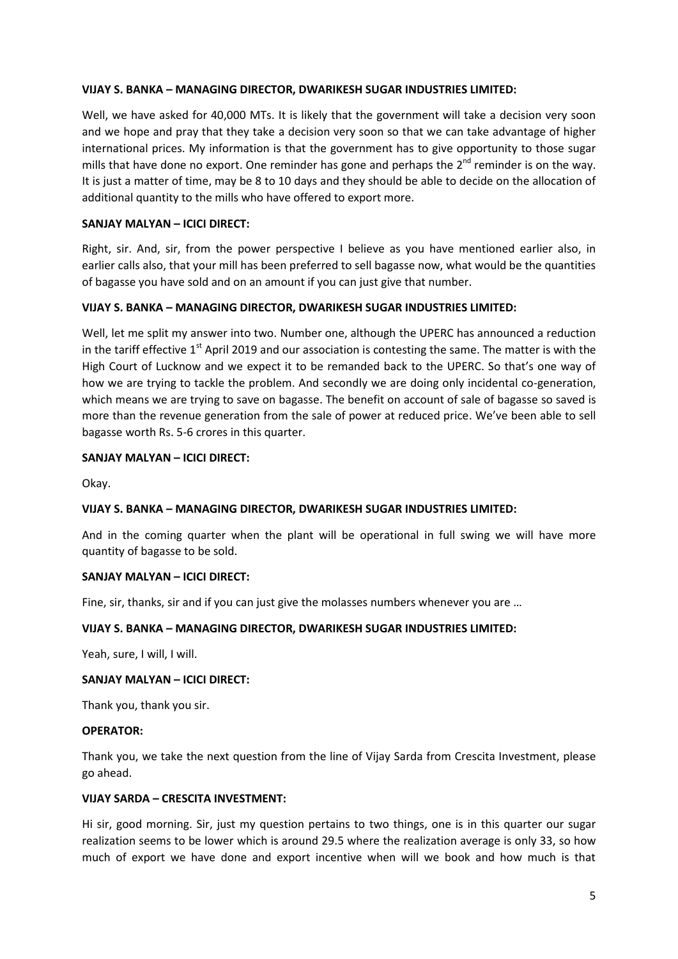Well, we have asked for 40,000 MTs. It is likely that the government will take a decision very soon and we hope and pray that they take a decision very soon so that we can take advantage of higher international prices. My information is that the government has to give opportunity to those sugar mills that have done no export. One reminder has gone and perhaps the  $2^{nd}$  reminder is on the way. It is just a matter of time, may be 8 to 10 days and they should be able to decide on the allocation of additional quantity to the mills who have offered to export more.

## **SANJAY MALYAN – ICICI DIRECT:**

Right, sir. And, sir, from the power perspective I believe as you have mentioned earlier also, in earlier calls also, that your mill has been preferred to sell bagasse now, what would be the quantities of bagasse you have sold and on an amount if you can just give that number.

## **VIJAY S. BANKA – MANAGING DIRECTOR, DWARIKESH SUGAR INDUSTRIES LIMITED:**

Well, let me split my answer into two. Number one, although the UPERC has announced a reduction in the tariff effective  $1<sup>st</sup>$  April 2019 and our association is contesting the same. The matter is with the High Court of Lucknow and we expect it to be remanded back to the UPERC. So that's one way of how we are trying to tackle the problem. And secondly we are doing only incidental co-generation, which means we are trying to save on bagasse. The benefit on account of sale of bagasse so saved is more than the revenue generation from the sale of power at reduced price. We've been able to sell bagasse worth Rs. 5-6 crores in this quarter.

## **SANJAY MALYAN – ICICI DIRECT:**

Okay.

## **VIJAY S. BANKA – MANAGING DIRECTOR, DWARIKESH SUGAR INDUSTRIES LIMITED:**

And in the coming quarter when the plant will be operational in full swing we will have more quantity of bagasse to be sold.

## **SANJAY MALYAN – ICICI DIRECT:**

Fine, sir, thanks, sir and if you can just give the molasses numbers whenever you are …

## **VIJAY S. BANKA – MANAGING DIRECTOR, DWARIKESH SUGAR INDUSTRIES LIMITED:**

Yeah, sure, I will, I will.

#### **SANJAY MALYAN – ICICI DIRECT:**

Thank you, thank you sir.

#### **OPERATOR:**

Thank you, we take the next question from the line of Vijay Sarda from Crescita Investment, please go ahead.

## **VIJAY SARDA – CRESCITA INVESTMENT:**

Hi sir, good morning. Sir, just my question pertains to two things, one is in this quarter our sugar realization seems to be lower which is around 29.5 where the realization average is only 33, so how much of export we have done and export incentive when will we book and how much is that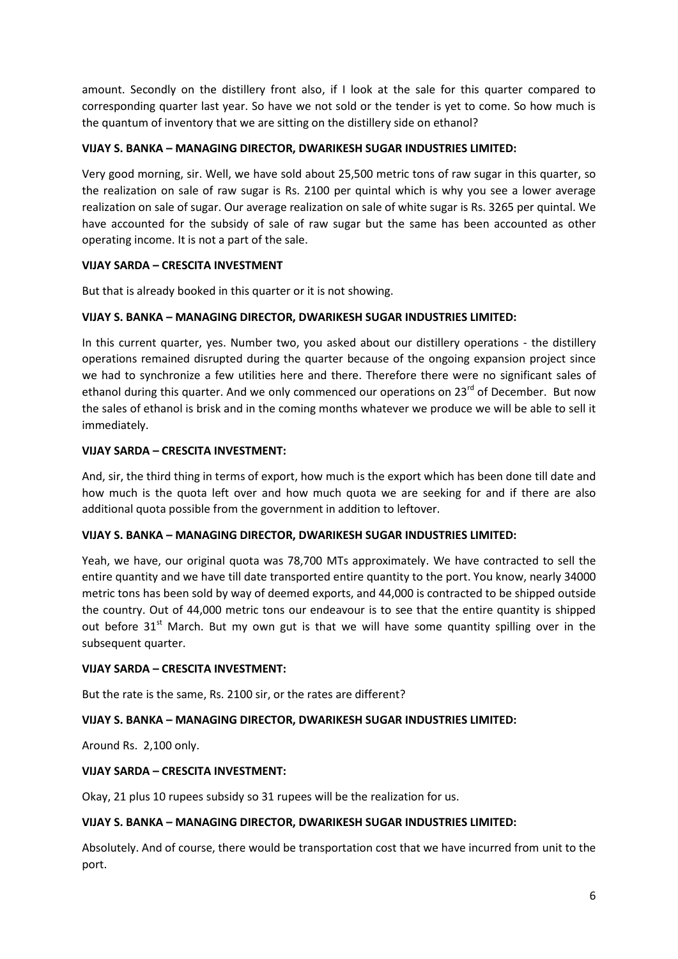amount. Secondly on the distillery front also, if I look at the sale for this quarter compared to corresponding quarter last year. So have we not sold or the tender is yet to come. So how much is the quantum of inventory that we are sitting on the distillery side on ethanol?

# **VIJAY S. BANKA – MANAGING DIRECTOR, DWARIKESH SUGAR INDUSTRIES LIMITED:**

Very good morning, sir. Well, we have sold about 25,500 metric tons of raw sugar in this quarter, so the realization on sale of raw sugar is Rs. 2100 per quintal which is why you see a lower average realization on sale of sugar. Our average realization on sale of white sugar is Rs. 3265 per quintal. We have accounted for the subsidy of sale of raw sugar but the same has been accounted as other operating income. It is not a part of the sale.

# **VIJAY SARDA – CRESCITA INVESTMENT**

But that is already booked in this quarter or it is not showing.

# **VIJAY S. BANKA – MANAGING DIRECTOR, DWARIKESH SUGAR INDUSTRIES LIMITED:**

In this current quarter, yes. Number two, you asked about our distillery operations - the distillery operations remained disrupted during the quarter because of the ongoing expansion project since we had to synchronize a few utilities here and there. Therefore there were no significant sales of ethanol during this quarter. And we only commenced our operations on  $23^{rd}$  of December. But now the sales of ethanol is brisk and in the coming months whatever we produce we will be able to sell it immediately.

# **VIJAY SARDA – CRESCITA INVESTMENT:**

And, sir, the third thing in terms of export, how much is the export which has been done till date and how much is the quota left over and how much quota we are seeking for and if there are also additional quota possible from the government in addition to leftover.

## **VIJAY S. BANKA – MANAGING DIRECTOR, DWARIKESH SUGAR INDUSTRIES LIMITED:**

Yeah, we have, our original quota was 78,700 MTs approximately. We have contracted to sell the entire quantity and we have till date transported entire quantity to the port. You know, nearly 34000 metric tons has been sold by way of deemed exports, and 44,000 is contracted to be shipped outside the country. Out of 44,000 metric tons our endeavour is to see that the entire quantity is shipped out before 31<sup>st</sup> March. But my own gut is that we will have some quantity spilling over in the subsequent quarter.

## **VIJAY SARDA – CRESCITA INVESTMENT:**

But the rate is the same, Rs. 2100 sir, or the rates are different?

# **VIJAY S. BANKA – MANAGING DIRECTOR, DWARIKESH SUGAR INDUSTRIES LIMITED:**

Around Rs. 2,100 only.

## **VIJAY SARDA – CRESCITA INVESTMENT:**

Okay, 21 plus 10 rupees subsidy so 31 rupees will be the realization for us.

## **VIJAY S. BANKA – MANAGING DIRECTOR, DWARIKESH SUGAR INDUSTRIES LIMITED:**

Absolutely. And of course, there would be transportation cost that we have incurred from unit to the port.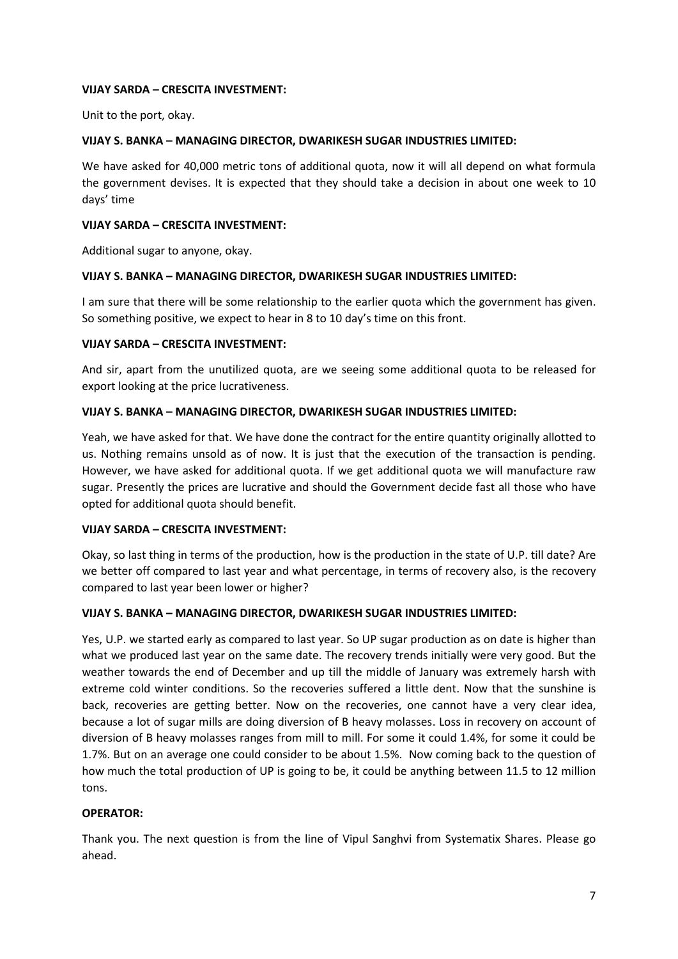## **VIJAY SARDA – CRESCITA INVESTMENT:**

Unit to the port, okay.

#### **VIJAY S. BANKA – MANAGING DIRECTOR, DWARIKESH SUGAR INDUSTRIES LIMITED:**

We have asked for 40,000 metric tons of additional quota, now it will all depend on what formula the government devises. It is expected that they should take a decision in about one week to 10 days' time

#### **VIJAY SARDA – CRESCITA INVESTMENT:**

Additional sugar to anyone, okay.

#### **VIJAY S. BANKA – MANAGING DIRECTOR, DWARIKESH SUGAR INDUSTRIES LIMITED:**

I am sure that there will be some relationship to the earlier quota which the government has given. So something positive, we expect to hear in 8 to 10 day's time on this front.

#### **VIJAY SARDA – CRESCITA INVESTMENT:**

And sir, apart from the unutilized quota, are we seeing some additional quota to be released for export looking at the price lucrativeness.

## **VIJAY S. BANKA – MANAGING DIRECTOR, DWARIKESH SUGAR INDUSTRIES LIMITED:**

Yeah, we have asked for that. We have done the contract for the entire quantity originally allotted to us. Nothing remains unsold as of now. It is just that the execution of the transaction is pending. However, we have asked for additional quota. If we get additional quota we will manufacture raw sugar. Presently the prices are lucrative and should the Government decide fast all those who have opted for additional quota should benefit.

## **VIJAY SARDA – CRESCITA INVESTMENT:**

Okay, so last thing in terms of the production, how is the production in the state of U.P. till date? Are we better off compared to last year and what percentage, in terms of recovery also, is the recovery compared to last year been lower or higher?

## **VIJAY S. BANKA – MANAGING DIRECTOR, DWARIKESH SUGAR INDUSTRIES LIMITED:**

Yes, U.P. we started early as compared to last year. So UP sugar production as on date is higher than what we produced last year on the same date. The recovery trends initially were very good. But the weather towards the end of December and up till the middle of January was extremely harsh with extreme cold winter conditions. So the recoveries suffered a little dent. Now that the sunshine is back, recoveries are getting better. Now on the recoveries, one cannot have a very clear idea, because a lot of sugar mills are doing diversion of B heavy molasses. Loss in recovery on account of diversion of B heavy molasses ranges from mill to mill. For some it could 1.4%, for some it could be 1.7%. But on an average one could consider to be about 1.5%. Now coming back to the question of how much the total production of UP is going to be, it could be anything between 11.5 to 12 million tons.

## **OPERATOR:**

Thank you. The next question is from the line of Vipul Sanghvi from Systematix Shares. Please go ahead.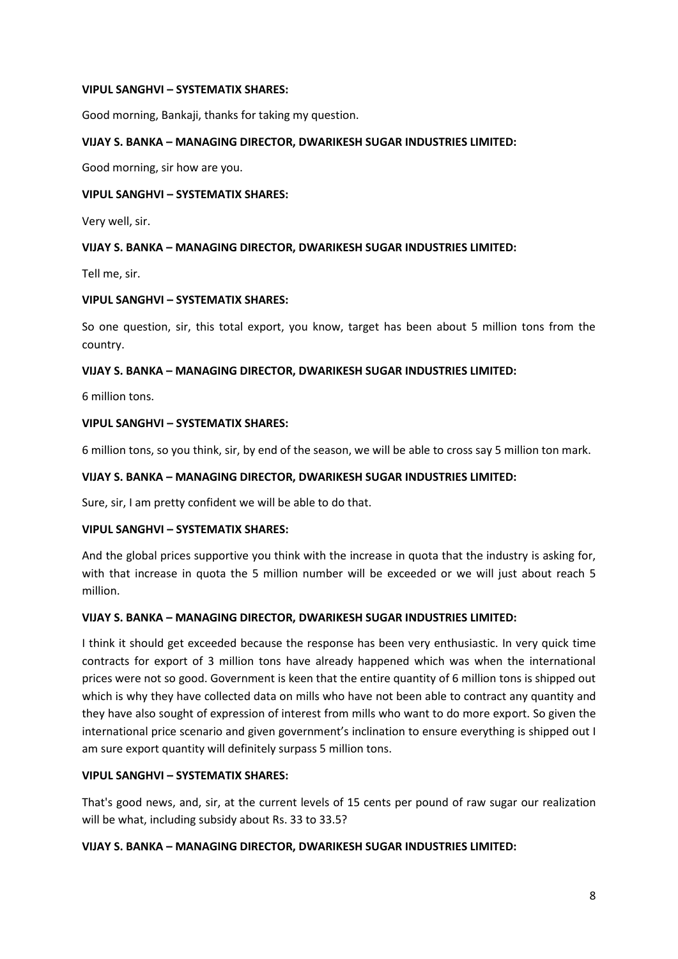#### **VIPUL SANGHVI – SYSTEMATIX SHARES:**

Good morning, Bankaji, thanks for taking my question.

# **VIJAY S. BANKA – MANAGING DIRECTOR, DWARIKESH SUGAR INDUSTRIES LIMITED:**

Good morning, sir how are you.

#### **VIPUL SANGHVI – SYSTEMATIX SHARES:**

Very well, sir.

## **VIJAY S. BANKA – MANAGING DIRECTOR, DWARIKESH SUGAR INDUSTRIES LIMITED:**

Tell me, sir.

#### **VIPUL SANGHVI – SYSTEMATIX SHARES:**

So one question, sir, this total export, you know, target has been about 5 million tons from the country.

#### **VIJAY S. BANKA – MANAGING DIRECTOR, DWARIKESH SUGAR INDUSTRIES LIMITED:**

6 million tons.

## **VIPUL SANGHVI – SYSTEMATIX SHARES:**

6 million tons, so you think, sir, by end of the season, we will be able to cross say 5 million ton mark.

#### **VIJAY S. BANKA – MANAGING DIRECTOR, DWARIKESH SUGAR INDUSTRIES LIMITED:**

Sure, sir, I am pretty confident we will be able to do that.

#### **VIPUL SANGHVI – SYSTEMATIX SHARES:**

And the global prices supportive you think with the increase in quota that the industry is asking for, with that increase in quota the 5 million number will be exceeded or we will just about reach 5 million.

## **VIJAY S. BANKA – MANAGING DIRECTOR, DWARIKESH SUGAR INDUSTRIES LIMITED:**

I think it should get exceeded because the response has been very enthusiastic. In very quick time contracts for export of 3 million tons have already happened which was when the international prices were not so good. Government is keen that the entire quantity of 6 million tons is shipped out which is why they have collected data on mills who have not been able to contract any quantity and they have also sought of expression of interest from mills who want to do more export. So given the international price scenario and given government's inclination to ensure everything is shipped out I am sure export quantity will definitely surpass 5 million tons.

#### **VIPUL SANGHVI – SYSTEMATIX SHARES:**

That's good news, and, sir, at the current levels of 15 cents per pound of raw sugar our realization will be what, including subsidy about Rs. 33 to 33.5?

#### **VIJAY S. BANKA – MANAGING DIRECTOR, DWARIKESH SUGAR INDUSTRIES LIMITED:**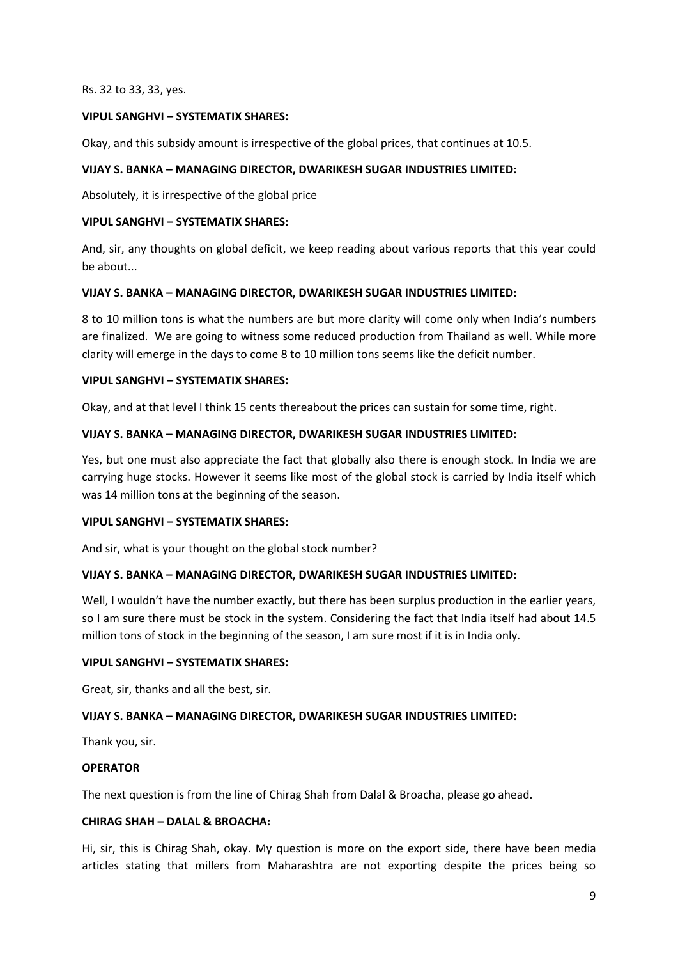Rs. 32 to 33, 33, yes.

## **VIPUL SANGHVI – SYSTEMATIX SHARES:**

Okay, and this subsidy amount is irrespective of the global prices, that continues at 10.5.

#### **VIJAY S. BANKA – MANAGING DIRECTOR, DWARIKESH SUGAR INDUSTRIES LIMITED:**

Absolutely, it is irrespective of the global price

#### **VIPUL SANGHVI – SYSTEMATIX SHARES:**

And, sir, any thoughts on global deficit, we keep reading about various reports that this year could be about...

#### **VIJAY S. BANKA – MANAGING DIRECTOR, DWARIKESH SUGAR INDUSTRIES LIMITED:**

8 to 10 million tons is what the numbers are but more clarity will come only when India's numbers are finalized. We are going to witness some reduced production from Thailand as well. While more clarity will emerge in the days to come 8 to 10 million tons seems like the deficit number.

#### **VIPUL SANGHVI – SYSTEMATIX SHARES:**

Okay, and at that level I think 15 cents thereabout the prices can sustain for some time, right.

#### **VIJAY S. BANKA – MANAGING DIRECTOR, DWARIKESH SUGAR INDUSTRIES LIMITED:**

Yes, but one must also appreciate the fact that globally also there is enough stock. In India we are carrying huge stocks. However it seems like most of the global stock is carried by India itself which was 14 million tons at the beginning of the season.

#### **VIPUL SANGHVI – SYSTEMATIX SHARES:**

And sir, what is your thought on the global stock number?

## **VIJAY S. BANKA – MANAGING DIRECTOR, DWARIKESH SUGAR INDUSTRIES LIMITED:**

Well, I wouldn't have the number exactly, but there has been surplus production in the earlier years, so I am sure there must be stock in the system. Considering the fact that India itself had about 14.5 million tons of stock in the beginning of the season, I am sure most if it is in India only.

#### **VIPUL SANGHVI – SYSTEMATIX SHARES:**

Great, sir, thanks and all the best, sir.

## **VIJAY S. BANKA – MANAGING DIRECTOR, DWARIKESH SUGAR INDUSTRIES LIMITED:**

Thank you, sir.

#### **OPERATOR**

The next question is from the line of Chirag Shah from Dalal & Broacha, please go ahead.

#### **CHIRAG SHAH – DALAL & BROACHA:**

Hi, sir, this is Chirag Shah, okay. My question is more on the export side, there have been media articles stating that millers from Maharashtra are not exporting despite the prices being so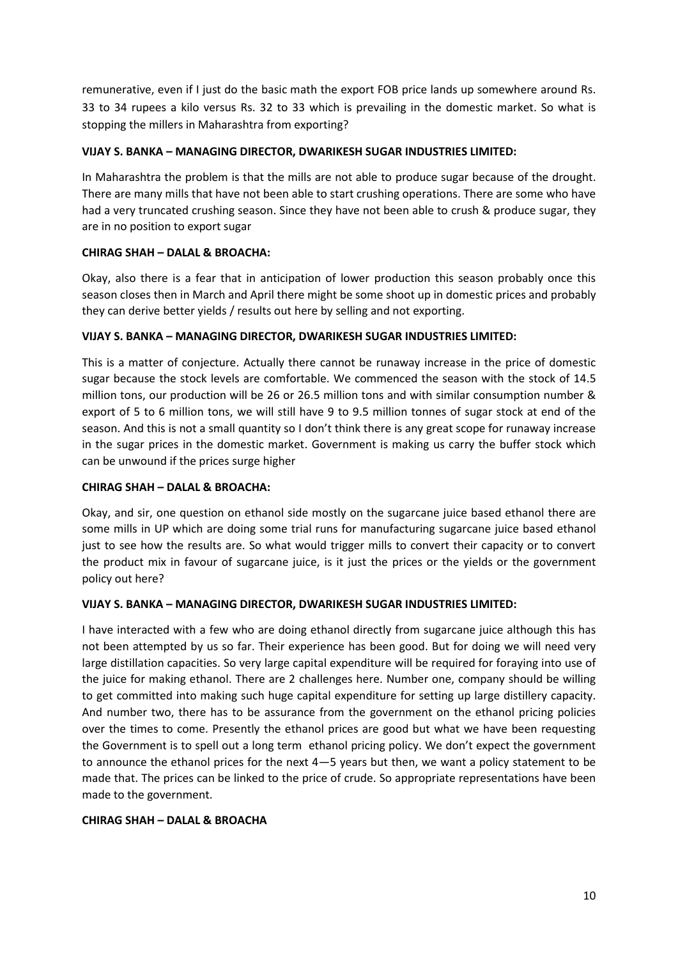remunerative, even if I just do the basic math the export FOB price lands up somewhere around Rs. 33 to 34 rupees a kilo versus Rs. 32 to 33 which is prevailing in the domestic market. So what is stopping the millers in Maharashtra from exporting?

# **VIJAY S. BANKA – MANAGING DIRECTOR, DWARIKESH SUGAR INDUSTRIES LIMITED:**

In Maharashtra the problem is that the mills are not able to produce sugar because of the drought. There are many mills that have not been able to start crushing operations. There are some who have had a very truncated crushing season. Since they have not been able to crush & produce sugar, they are in no position to export sugar

# **CHIRAG SHAH – DALAL & BROACHA:**

Okay, also there is a fear that in anticipation of lower production this season probably once this season closes then in March and April there might be some shoot up in domestic prices and probably they can derive better yields / results out here by selling and not exporting.

# **VIJAY S. BANKA – MANAGING DIRECTOR, DWARIKESH SUGAR INDUSTRIES LIMITED:**

This is a matter of conjecture. Actually there cannot be runaway increase in the price of domestic sugar because the stock levels are comfortable. We commenced the season with the stock of 14.5 million tons, our production will be 26 or 26.5 million tons and with similar consumption number & export of 5 to 6 million tons, we will still have 9 to 9.5 million tonnes of sugar stock at end of the season. And this is not a small quantity so I don't think there is any great scope for runaway increase in the sugar prices in the domestic market. Government is making us carry the buffer stock which can be unwound if the prices surge higher

## **CHIRAG SHAH – DALAL & BROACHA:**

Okay, and sir, one question on ethanol side mostly on the sugarcane juice based ethanol there are some mills in UP which are doing some trial runs for manufacturing sugarcane juice based ethanol just to see how the results are. So what would trigger mills to convert their capacity or to convert the product mix in favour of sugarcane juice, is it just the prices or the yields or the government policy out here?

## **VIJAY S. BANKA – MANAGING DIRECTOR, DWARIKESH SUGAR INDUSTRIES LIMITED:**

I have interacted with a few who are doing ethanol directly from sugarcane juice although this has not been attempted by us so far. Their experience has been good. But for doing we will need very large distillation capacities. So very large capital expenditure will be required for foraying into use of the juice for making ethanol. There are 2 challenges here. Number one, company should be willing to get committed into making such huge capital expenditure for setting up large distillery capacity. And number two, there has to be assurance from the government on the ethanol pricing policies over the times to come. Presently the ethanol prices are good but what we have been requesting the Government is to spell out a long term ethanol pricing policy. We don't expect the government to announce the ethanol prices for the next 4—5 years but then, we want a policy statement to be made that. The prices can be linked to the price of crude. So appropriate representations have been made to the government.

## **CHIRAG SHAH – DALAL & BROACHA**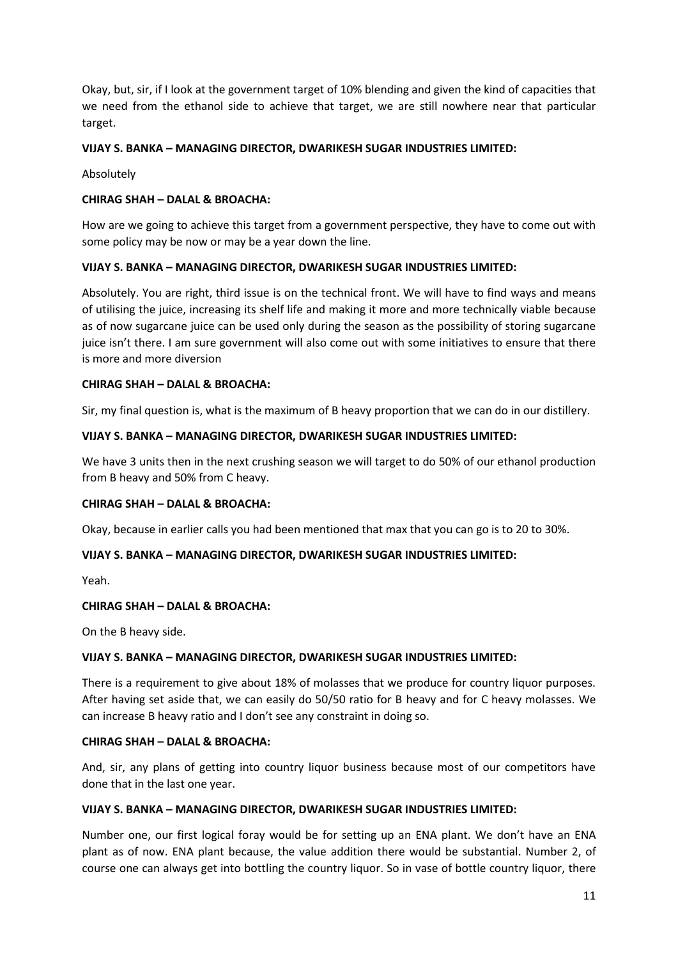Okay, but, sir, if I look at the government target of 10% blending and given the kind of capacities that we need from the ethanol side to achieve that target, we are still nowhere near that particular target.

# **VIJAY S. BANKA – MANAGING DIRECTOR, DWARIKESH SUGAR INDUSTRIES LIMITED:**

Absolutely

# **CHIRAG SHAH – DALAL & BROACHA:**

How are we going to achieve this target from a government perspective, they have to come out with some policy may be now or may be a year down the line.

# **VIJAY S. BANKA – MANAGING DIRECTOR, DWARIKESH SUGAR INDUSTRIES LIMITED:**

Absolutely. You are right, third issue is on the technical front. We will have to find ways and means of utilising the juice, increasing its shelf life and making it more and more technically viable because as of now sugarcane juice can be used only during the season as the possibility of storing sugarcane juice isn't there. I am sure government will also come out with some initiatives to ensure that there is more and more diversion

## **CHIRAG SHAH – DALAL & BROACHA:**

Sir, my final question is, what is the maximum of B heavy proportion that we can do in our distillery.

#### **VIJAY S. BANKA – MANAGING DIRECTOR, DWARIKESH SUGAR INDUSTRIES LIMITED:**

We have 3 units then in the next crushing season we will target to do 50% of our ethanol production from B heavy and 50% from C heavy.

## **CHIRAG SHAH – DALAL & BROACHA:**

Okay, because in earlier calls you had been mentioned that max that you can go is to 20 to 30%.

## **VIJAY S. BANKA – MANAGING DIRECTOR, DWARIKESH SUGAR INDUSTRIES LIMITED:**

Yeah.

## **CHIRAG SHAH – DALAL & BROACHA:**

On the B heavy side.

## **VIJAY S. BANKA – MANAGING DIRECTOR, DWARIKESH SUGAR INDUSTRIES LIMITED:**

There is a requirement to give about 18% of molasses that we produce for country liquor purposes. After having set aside that, we can easily do 50/50 ratio for B heavy and for C heavy molasses. We can increase B heavy ratio and I don't see any constraint in doing so.

## **CHIRAG SHAH – DALAL & BROACHA:**

And, sir, any plans of getting into country liquor business because most of our competitors have done that in the last one year.

## **VIJAY S. BANKA – MANAGING DIRECTOR, DWARIKESH SUGAR INDUSTRIES LIMITED:**

Number one, our first logical foray would be for setting up an ENA plant. We don't have an ENA plant as of now. ENA plant because, the value addition there would be substantial. Number 2, of course one can always get into bottling the country liquor. So in vase of bottle country liquor, there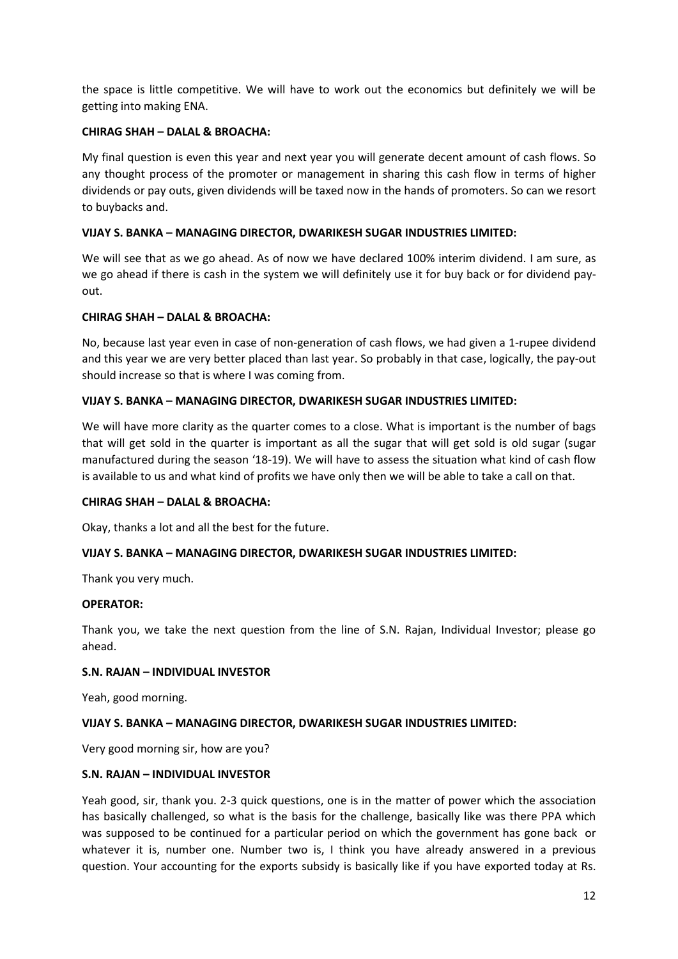the space is little competitive. We will have to work out the economics but definitely we will be getting into making ENA.

# **CHIRAG SHAH – DALAL & BROACHA:**

My final question is even this year and next year you will generate decent amount of cash flows. So any thought process of the promoter or management in sharing this cash flow in terms of higher dividends or pay outs, given dividends will be taxed now in the hands of promoters. So can we resort to buybacks and.

# **VIJAY S. BANKA – MANAGING DIRECTOR, DWARIKESH SUGAR INDUSTRIES LIMITED:**

We will see that as we go ahead. As of now we have declared 100% interim dividend. I am sure, as we go ahead if there is cash in the system we will definitely use it for buy back or for dividend payout.

## **CHIRAG SHAH – DALAL & BROACHA:**

No, because last year even in case of non-generation of cash flows, we had given a 1-rupee dividend and this year we are very better placed than last year. So probably in that case, logically, the pay-out should increase so that is where I was coming from.

## **VIJAY S. BANKA – MANAGING DIRECTOR, DWARIKESH SUGAR INDUSTRIES LIMITED:**

We will have more clarity as the quarter comes to a close. What is important is the number of bags that will get sold in the quarter is important as all the sugar that will get sold is old sugar (sugar manufactured during the season '18-19). We will have to assess the situation what kind of cash flow is available to us and what kind of profits we have only then we will be able to take a call on that.

## **CHIRAG SHAH – DALAL & BROACHA:**

Okay, thanks a lot and all the best for the future.

## **VIJAY S. BANKA – MANAGING DIRECTOR, DWARIKESH SUGAR INDUSTRIES LIMITED:**

Thank you very much.

#### **OPERATOR:**

Thank you, we take the next question from the line of S.N. Rajan, Individual Investor; please go ahead.

## **S.N. RAJAN – INDIVIDUAL INVESTOR**

Yeah, good morning.

## **VIJAY S. BANKA – MANAGING DIRECTOR, DWARIKESH SUGAR INDUSTRIES LIMITED:**

Very good morning sir, how are you?

## **S.N. RAJAN – INDIVIDUAL INVESTOR**

Yeah good, sir, thank you. 2-3 quick questions, one is in the matter of power which the association has basically challenged, so what is the basis for the challenge, basically like was there PPA which was supposed to be continued for a particular period on which the government has gone back or whatever it is, number one. Number two is, I think you have already answered in a previous question. Your accounting for the exports subsidy is basically like if you have exported today at Rs.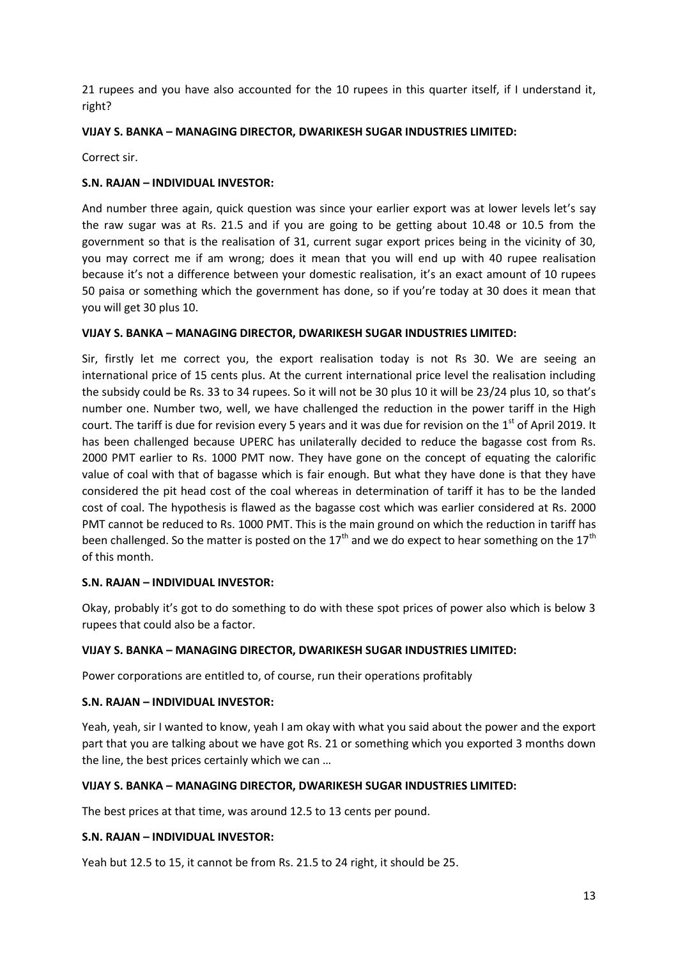21 rupees and you have also accounted for the 10 rupees in this quarter itself, if I understand it, right?

# **VIJAY S. BANKA – MANAGING DIRECTOR, DWARIKESH SUGAR INDUSTRIES LIMITED:**

Correct sir.

# **S.N. RAJAN – INDIVIDUAL INVESTOR:**

And number three again, quick question was since your earlier export was at lower levels let's say the raw sugar was at Rs. 21.5 and if you are going to be getting about 10.48 or 10.5 from the government so that is the realisation of 31, current sugar export prices being in the vicinity of 30, you may correct me if am wrong; does it mean that you will end up with 40 rupee realisation because it's not a difference between your domestic realisation, it's an exact amount of 10 rupees 50 paisa or something which the government has done, so if you're today at 30 does it mean that you will get 30 plus 10.

## **VIJAY S. BANKA – MANAGING DIRECTOR, DWARIKESH SUGAR INDUSTRIES LIMITED:**

Sir, firstly let me correct you, the export realisation today is not Rs 30. We are seeing an international price of 15 cents plus. At the current international price level the realisation including the subsidy could be Rs. 33 to 34 rupees. So it will not be 30 plus 10 it will be 23/24 plus 10, so that's number one. Number two, well, we have challenged the reduction in the power tariff in the High court. The tariff is due for revision every 5 years and it was due for revision on the 1<sup>st</sup> of April 2019. It has been challenged because UPERC has unilaterally decided to reduce the bagasse cost from Rs. 2000 PMT earlier to Rs. 1000 PMT now. They have gone on the concept of equating the calorific value of coal with that of bagasse which is fair enough. But what they have done is that they have considered the pit head cost of the coal whereas in determination of tariff it has to be the landed cost of coal. The hypothesis is flawed as the bagasse cost which was earlier considered at Rs. 2000 PMT cannot be reduced to Rs. 1000 PMT. This is the main ground on which the reduction in tariff has been challenged. So the matter is posted on the 17<sup>th</sup> and we do expect to hear something on the 17<sup>th</sup> of this month.

## **S.N. RAJAN – INDIVIDUAL INVESTOR:**

Okay, probably it's got to do something to do with these spot prices of power also which is below 3 rupees that could also be a factor.

## **VIJAY S. BANKA – MANAGING DIRECTOR, DWARIKESH SUGAR INDUSTRIES LIMITED:**

Power corporations are entitled to, of course, run their operations profitably

## **S.N. RAJAN – INDIVIDUAL INVESTOR:**

Yeah, yeah, sir I wanted to know, yeah I am okay with what you said about the power and the export part that you are talking about we have got Rs. 21 or something which you exported 3 months down the line, the best prices certainly which we can …

## **VIJAY S. BANKA – MANAGING DIRECTOR, DWARIKESH SUGAR INDUSTRIES LIMITED:**

The best prices at that time, was around 12.5 to 13 cents per pound.

## **S.N. RAJAN – INDIVIDUAL INVESTOR:**

Yeah but 12.5 to 15, it cannot be from Rs. 21.5 to 24 right, it should be 25.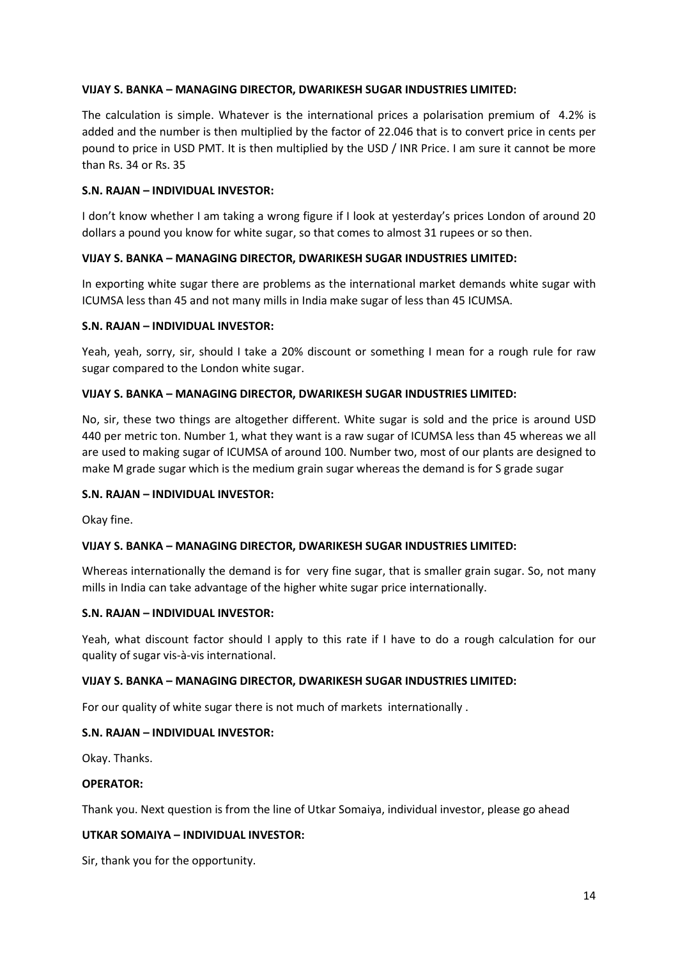The calculation is simple. Whatever is the international prices a polarisation premium of 4.2% is added and the number is then multiplied by the factor of 22.046 that is to convert price in cents per pound to price in USD PMT. It is then multiplied by the USD / INR Price. I am sure it cannot be more than Rs. 34 or Rs. 35

# **S.N. RAJAN – INDIVIDUAL INVESTOR:**

I don't know whether I am taking a wrong figure if I look at yesterday's prices London of around 20 dollars a pound you know for white sugar, so that comes to almost 31 rupees or so then.

# **VIJAY S. BANKA – MANAGING DIRECTOR, DWARIKESH SUGAR INDUSTRIES LIMITED:**

In exporting white sugar there are problems as the international market demands white sugar with ICUMSA less than 45 and not many mills in India make sugar of less than 45 ICUMSA.

## **S.N. RAJAN – INDIVIDUAL INVESTOR:**

Yeah, yeah, sorry, sir, should I take a 20% discount or something I mean for a rough rule for raw sugar compared to the London white sugar.

## **VIJAY S. BANKA – MANAGING DIRECTOR, DWARIKESH SUGAR INDUSTRIES LIMITED:**

No, sir, these two things are altogether different. White sugar is sold and the price is around USD 440 per metric ton. Number 1, what they want is a raw sugar of ICUMSA less than 45 whereas we all are used to making sugar of ICUMSA of around 100. Number two, most of our plants are designed to make M grade sugar which is the medium grain sugar whereas the demand is for S grade sugar

## **S.N. RAJAN – INDIVIDUAL INVESTOR:**

Okay fine.

## **VIJAY S. BANKA – MANAGING DIRECTOR, DWARIKESH SUGAR INDUSTRIES LIMITED:**

Whereas internationally the demand is for very fine sugar, that is smaller grain sugar. So, not many mills in India can take advantage of the higher white sugar price internationally.

## **S.N. RAJAN – INDIVIDUAL INVESTOR:**

Yeah, what discount factor should I apply to this rate if I have to do a rough calculation for our quality of sugar vis-à-vis international.

## **VIJAY S. BANKA – MANAGING DIRECTOR, DWARIKESH SUGAR INDUSTRIES LIMITED:**

For our quality of white sugar there is not much of markets internationally .

# **S.N. RAJAN – INDIVIDUAL INVESTOR:**

Okay. Thanks.

#### **OPERATOR:**

Thank you. Next question is from the line of Utkar Somaiya, individual investor, please go ahead

## **UTKAR SOMAIYA – INDIVIDUAL INVESTOR:**

Sir, thank you for the opportunity.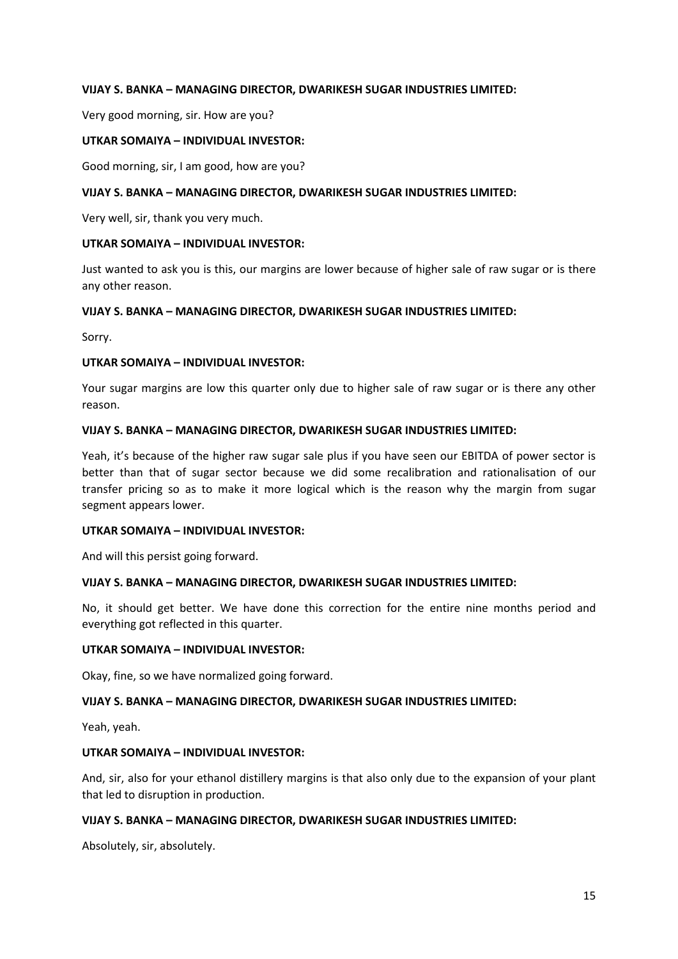Very good morning, sir. How are you?

#### **UTKAR SOMAIYA – INDIVIDUAL INVESTOR:**

Good morning, sir, I am good, how are you?

#### **VIJAY S. BANKA – MANAGING DIRECTOR, DWARIKESH SUGAR INDUSTRIES LIMITED:**

Very well, sir, thank you very much.

#### **UTKAR SOMAIYA – INDIVIDUAL INVESTOR:**

Just wanted to ask you is this, our margins are lower because of higher sale of raw sugar or is there any other reason.

#### **VIJAY S. BANKA – MANAGING DIRECTOR, DWARIKESH SUGAR INDUSTRIES LIMITED:**

Sorry.

## **UTKAR SOMAIYA – INDIVIDUAL INVESTOR:**

Your sugar margins are low this quarter only due to higher sale of raw sugar or is there any other reason.

#### **VIJAY S. BANKA – MANAGING DIRECTOR, DWARIKESH SUGAR INDUSTRIES LIMITED:**

Yeah, it's because of the higher raw sugar sale plus if you have seen our EBITDA of power sector is better than that of sugar sector because we did some recalibration and rationalisation of our transfer pricing so as to make it more logical which is the reason why the margin from sugar segment appears lower.

#### **UTKAR SOMAIYA – INDIVIDUAL INVESTOR:**

And will this persist going forward.

## **VIJAY S. BANKA – MANAGING DIRECTOR, DWARIKESH SUGAR INDUSTRIES LIMITED:**

No, it should get better. We have done this correction for the entire nine months period and everything got reflected in this quarter.

## **UTKAR SOMAIYA – INDIVIDUAL INVESTOR:**

Okay, fine, so we have normalized going forward.

## **VIJAY S. BANKA – MANAGING DIRECTOR, DWARIKESH SUGAR INDUSTRIES LIMITED:**

Yeah, yeah.

## **UTKAR SOMAIYA – INDIVIDUAL INVESTOR:**

And, sir, also for your ethanol distillery margins is that also only due to the expansion of your plant that led to disruption in production.

## **VIJAY S. BANKA – MANAGING DIRECTOR, DWARIKESH SUGAR INDUSTRIES LIMITED:**

Absolutely, sir, absolutely.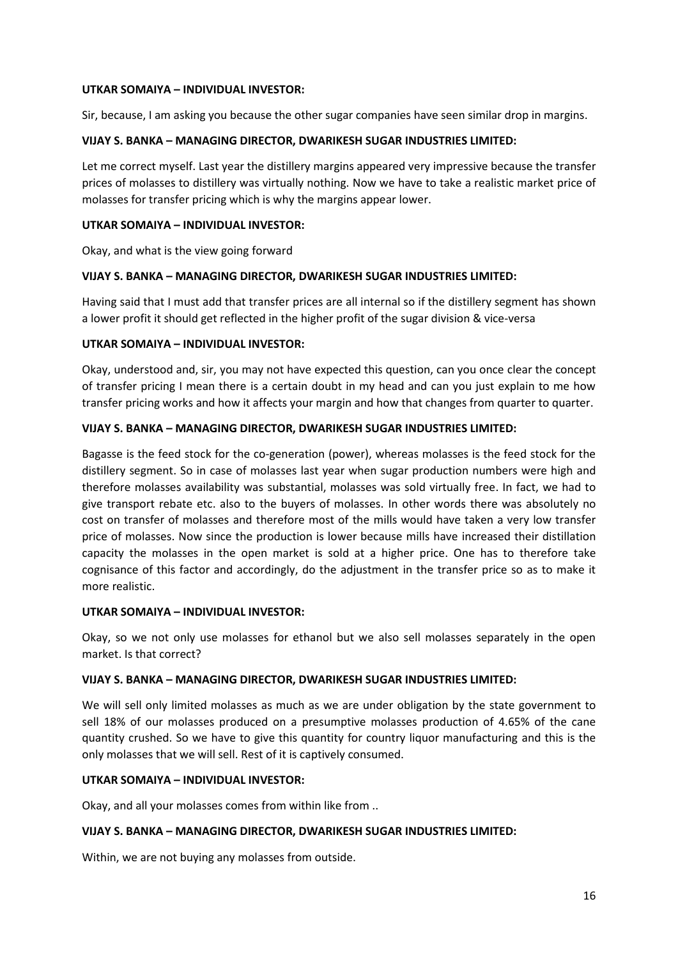#### **UTKAR SOMAIYA – INDIVIDUAL INVESTOR:**

Sir, because, I am asking you because the other sugar companies have seen similar drop in margins.

# **VIJAY S. BANKA – MANAGING DIRECTOR, DWARIKESH SUGAR INDUSTRIES LIMITED:**

Let me correct myself. Last year the distillery margins appeared very impressive because the transfer prices of molasses to distillery was virtually nothing. Now we have to take a realistic market price of molasses for transfer pricing which is why the margins appear lower.

# **UTKAR SOMAIYA – INDIVIDUAL INVESTOR:**

Okay, and what is the view going forward

# **VIJAY S. BANKA – MANAGING DIRECTOR, DWARIKESH SUGAR INDUSTRIES LIMITED:**

Having said that I must add that transfer prices are all internal so if the distillery segment has shown a lower profit it should get reflected in the higher profit of the sugar division & vice-versa

# **UTKAR SOMAIYA – INDIVIDUAL INVESTOR:**

Okay, understood and, sir, you may not have expected this question, can you once clear the concept of transfer pricing I mean there is a certain doubt in my head and can you just explain to me how transfer pricing works and how it affects your margin and how that changes from quarter to quarter.

# **VIJAY S. BANKA – MANAGING DIRECTOR, DWARIKESH SUGAR INDUSTRIES LIMITED:**

Bagasse is the feed stock for the co-generation (power), whereas molasses is the feed stock for the distillery segment. So in case of molasses last year when sugar production numbers were high and therefore molasses availability was substantial, molasses was sold virtually free. In fact, we had to give transport rebate etc. also to the buyers of molasses. In other words there was absolutely no cost on transfer of molasses and therefore most of the mills would have taken a very low transfer price of molasses. Now since the production is lower because mills have increased their distillation capacity the molasses in the open market is sold at a higher price. One has to therefore take cognisance of this factor and accordingly, do the adjustment in the transfer price so as to make it more realistic.

## **UTKAR SOMAIYA – INDIVIDUAL INVESTOR:**

Okay, so we not only use molasses for ethanol but we also sell molasses separately in the open market. Is that correct?

# **VIJAY S. BANKA – MANAGING DIRECTOR, DWARIKESH SUGAR INDUSTRIES LIMITED:**

We will sell only limited molasses as much as we are under obligation by the state government to sell 18% of our molasses produced on a presumptive molasses production of 4.65% of the cane quantity crushed. So we have to give this quantity for country liquor manufacturing and this is the only molasses that we will sell. Rest of it is captively consumed.

## **UTKAR SOMAIYA – INDIVIDUAL INVESTOR:**

Okay, and all your molasses comes from within like from ..

## **VIJAY S. BANKA – MANAGING DIRECTOR, DWARIKESH SUGAR INDUSTRIES LIMITED:**

Within, we are not buying any molasses from outside.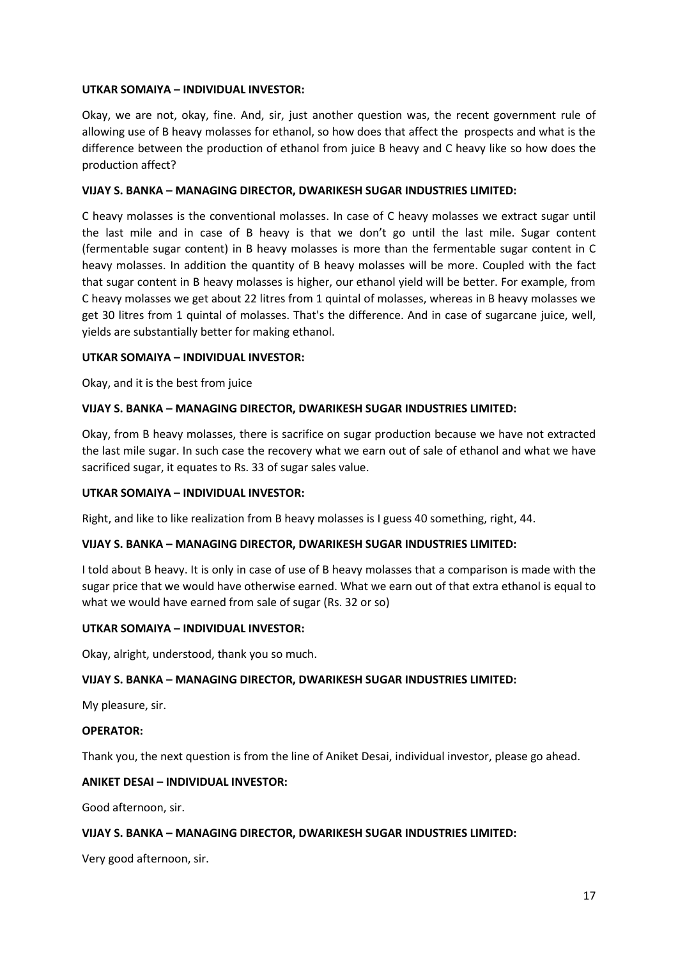## **UTKAR SOMAIYA – INDIVIDUAL INVESTOR:**

Okay, we are not, okay, fine. And, sir, just another question was, the recent government rule of allowing use of B heavy molasses for ethanol, so how does that affect the prospects and what is the difference between the production of ethanol from juice B heavy and C heavy like so how does the production affect?

## **VIJAY S. BANKA – MANAGING DIRECTOR, DWARIKESH SUGAR INDUSTRIES LIMITED:**

C heavy molasses is the conventional molasses. In case of C heavy molasses we extract sugar until the last mile and in case of B heavy is that we don't go until the last mile. Sugar content (fermentable sugar content) in B heavy molasses is more than the fermentable sugar content in C heavy molasses. In addition the quantity of B heavy molasses will be more. Coupled with the fact that sugar content in B heavy molasses is higher, our ethanol yield will be better. For example, from C heavy molasses we get about 22 litres from 1 quintal of molasses, whereas in B heavy molasses we get 30 litres from 1 quintal of molasses. That's the difference. And in case of sugarcane juice, well, yields are substantially better for making ethanol.

#### **UTKAR SOMAIYA – INDIVIDUAL INVESTOR:**

Okay, and it is the best from juice

#### **VIJAY S. BANKA – MANAGING DIRECTOR, DWARIKESH SUGAR INDUSTRIES LIMITED:**

Okay, from B heavy molasses, there is sacrifice on sugar production because we have not extracted the last mile sugar. In such case the recovery what we earn out of sale of ethanol and what we have sacrificed sugar, it equates to Rs. 33 of sugar sales value.

## **UTKAR SOMAIYA – INDIVIDUAL INVESTOR:**

Right, and like to like realization from B heavy molasses is I guess 40 something, right, 44.

#### **VIJAY S. BANKA – MANAGING DIRECTOR, DWARIKESH SUGAR INDUSTRIES LIMITED:**

I told about B heavy. It is only in case of use of B heavy molasses that a comparison is made with the sugar price that we would have otherwise earned. What we earn out of that extra ethanol is equal to what we would have earned from sale of sugar (Rs. 32 or so)

## **UTKAR SOMAIYA – INDIVIDUAL INVESTOR:**

Okay, alright, understood, thank you so much.

## **VIJAY S. BANKA – MANAGING DIRECTOR, DWARIKESH SUGAR INDUSTRIES LIMITED:**

My pleasure, sir.

#### **OPERATOR:**

Thank you, the next question is from the line of Aniket Desai, individual investor, please go ahead.

# **ANIKET DESAI – INDIVIDUAL INVESTOR:**

Good afternoon, sir.

## **VIJAY S. BANKA – MANAGING DIRECTOR, DWARIKESH SUGAR INDUSTRIES LIMITED:**

Very good afternoon, sir.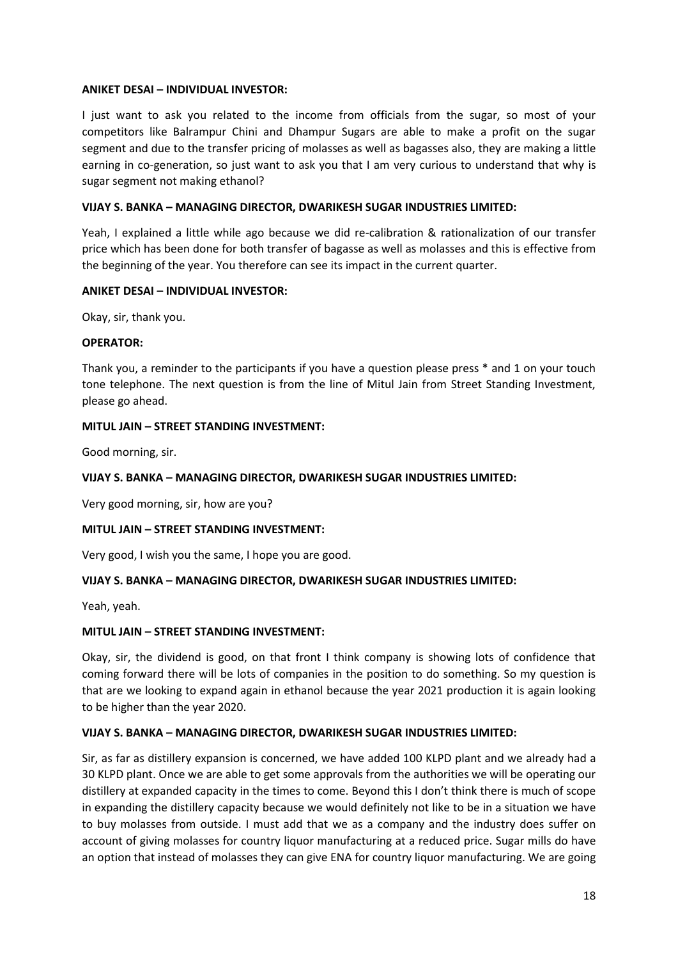#### **ANIKET DESAI – INDIVIDUAL INVESTOR:**

I just want to ask you related to the income from officials from the sugar, so most of your competitors like Balrampur Chini and Dhampur Sugars are able to make a profit on the sugar segment and due to the transfer pricing of molasses as well as bagasses also, they are making a little earning in co-generation, so just want to ask you that I am very curious to understand that why is sugar segment not making ethanol?

## **VIJAY S. BANKA – MANAGING DIRECTOR, DWARIKESH SUGAR INDUSTRIES LIMITED:**

Yeah, I explained a little while ago because we did re-calibration & rationalization of our transfer price which has been done for both transfer of bagasse as well as molasses and this is effective from the beginning of the year. You therefore can see its impact in the current quarter.

## **ANIKET DESAI – INDIVIDUAL INVESTOR:**

Okay, sir, thank you.

## **OPERATOR:**

Thank you, a reminder to the participants if you have a question please press \* and 1 on your touch tone telephone. The next question is from the line of Mitul Jain from Street Standing Investment, please go ahead.

# **MITUL JAIN – STREET STANDING INVESTMENT:**

Good morning, sir.

# **VIJAY S. BANKA – MANAGING DIRECTOR, DWARIKESH SUGAR INDUSTRIES LIMITED:**

Very good morning, sir, how are you?

## **MITUL JAIN – STREET STANDING INVESTMENT:**

Very good, I wish you the same, I hope you are good.

# **VIJAY S. BANKA – MANAGING DIRECTOR, DWARIKESH SUGAR INDUSTRIES LIMITED:**

Yeah, yeah.

## **MITUL JAIN – STREET STANDING INVESTMENT:**

Okay, sir, the dividend is good, on that front I think company is showing lots of confidence that coming forward there will be lots of companies in the position to do something. So my question is that are we looking to expand again in ethanol because the year 2021 production it is again looking to be higher than the year 2020.

## **VIJAY S. BANKA – MANAGING DIRECTOR, DWARIKESH SUGAR INDUSTRIES LIMITED:**

Sir, as far as distillery expansion is concerned, we have added 100 KLPD plant and we already had a 30 KLPD plant. Once we are able to get some approvals from the authorities we will be operating our distillery at expanded capacity in the times to come. Beyond this I don't think there is much of scope in expanding the distillery capacity because we would definitely not like to be in a situation we have to buy molasses from outside. I must add that we as a company and the industry does suffer on account of giving molasses for country liquor manufacturing at a reduced price. Sugar mills do have an option that instead of molasses they can give ENA for country liquor manufacturing. We are going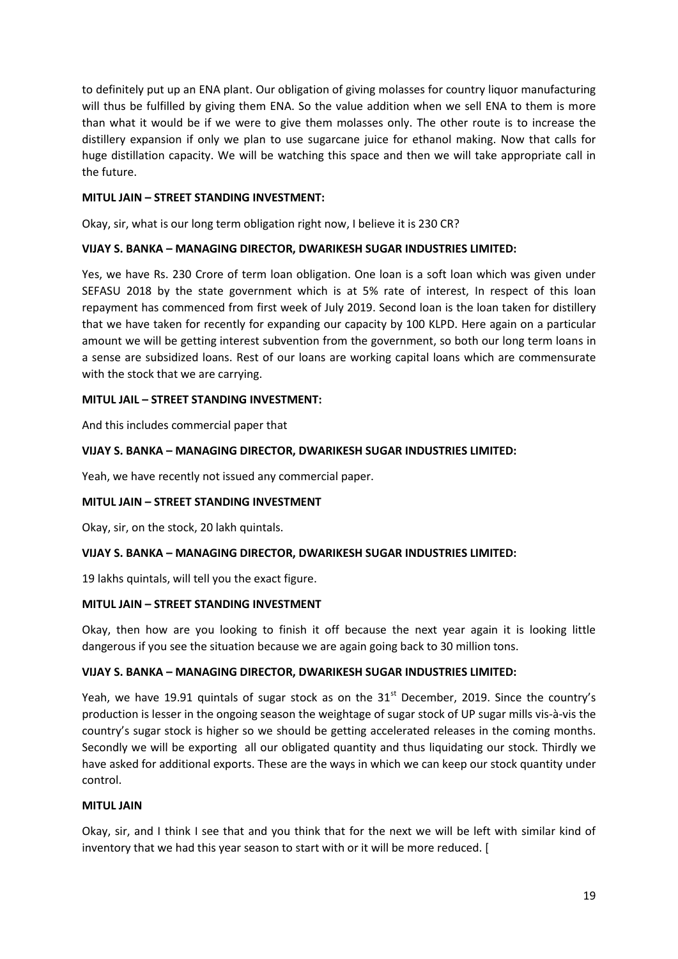to definitely put up an ENA plant. Our obligation of giving molasses for country liquor manufacturing will thus be fulfilled by giving them ENA. So the value addition when we sell ENA to them is more than what it would be if we were to give them molasses only. The other route is to increase the distillery expansion if only we plan to use sugarcane juice for ethanol making. Now that calls for huge distillation capacity. We will be watching this space and then we will take appropriate call in the future.

# **MITUL JAIN – STREET STANDING INVESTMENT:**

Okay, sir, what is our long term obligation right now, I believe it is 230 CR?

## **VIJAY S. BANKA – MANAGING DIRECTOR, DWARIKESH SUGAR INDUSTRIES LIMITED:**

Yes, we have Rs. 230 Crore of term loan obligation. One loan is a soft loan which was given under SEFASU 2018 by the state government which is at 5% rate of interest, In respect of this loan repayment has commenced from first week of July 2019. Second loan is the loan taken for distillery that we have taken for recently for expanding our capacity by 100 KLPD. Here again on a particular amount we will be getting interest subvention from the government, so both our long term loans in a sense are subsidized loans. Rest of our loans are working capital loans which are commensurate with the stock that we are carrying.

# **MITUL JAIL – STREET STANDING INVESTMENT:**

And this includes commercial paper that

## **VIJAY S. BANKA – MANAGING DIRECTOR, DWARIKESH SUGAR INDUSTRIES LIMITED:**

Yeah, we have recently not issued any commercial paper.

## **MITUL JAIN – STREET STANDING INVESTMENT**

Okay, sir, on the stock, 20 lakh quintals.

## **VIJAY S. BANKA – MANAGING DIRECTOR, DWARIKESH SUGAR INDUSTRIES LIMITED:**

19 lakhs quintals, will tell you the exact figure.

## **MITUL JAIN – STREET STANDING INVESTMENT**

Okay, then how are you looking to finish it off because the next year again it is looking little dangerous if you see the situation because we are again going back to 30 million tons.

## **VIJAY S. BANKA – MANAGING DIRECTOR, DWARIKESH SUGAR INDUSTRIES LIMITED:**

Yeah, we have 19.91 quintals of sugar stock as on the  $31<sup>st</sup>$  December, 2019. Since the country's production is lesser in the ongoing season the weightage of sugar stock of UP sugar mills vis-à-vis the country's sugar stock is higher so we should be getting accelerated releases in the coming months. Secondly we will be exporting all our obligated quantity and thus liquidating our stock. Thirdly we have asked for additional exports. These are the ways in which we can keep our stock quantity under control.

## **MITUL JAIN**

Okay, sir, and I think I see that and you think that for the next we will be left with similar kind of inventory that we had this year season to start with or it will be more reduced. [